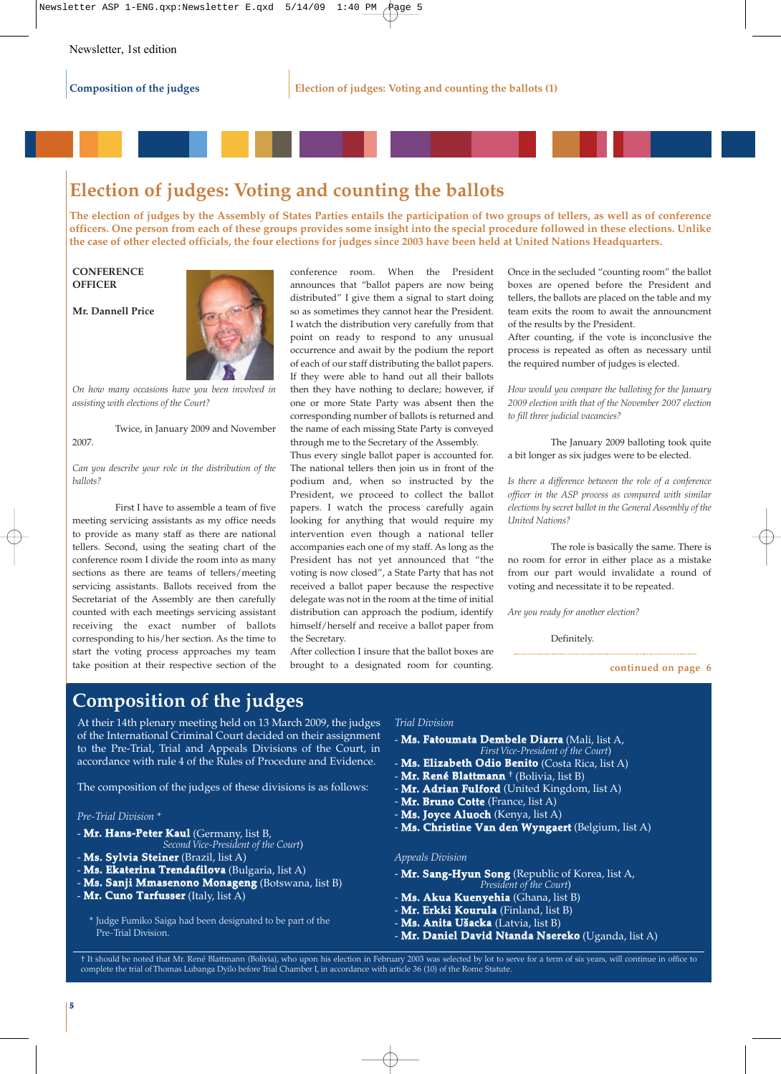# **Election of judges: Voting and counting the ballots**

**The election of judges by the Assembly of States Parties entails the participation of two groups of tellers, as well as of conference officers. One person from each of these groups provides some insight into the special procedure followed in these elections. Unlike the case of other elected officials, the four elections for judges since 2003 have been held at United Nations Headquarters.** 

**CONFERENCE OFFICER**

**Mr. Dannell Price**



*On how many occasions have you been involved in assisting with elections of the Court?*

Twice, in January 2009 and November 2007.

*Can you describe your role in the distribution of the ballots?*

First I have to assemble a team of five meeting servicing assistants as my office needs to provide as many staff as there are national tellers. Second, using the seating chart of the conference room I divide the room into as many sections as there are teams of tellers/meeting servicing assistants. Ballots received from the Secretariat of the Assembly are then carefully counted with each meetings servicing assistant receiving the exact number of ballots corresponding to his/her section. As the time to start the voting process approaches my team take position at their respective section of the conference room. When the President announces that "ballot papers are now being distributed" I give them a signal to start doing so as sometimes they cannot hear the President. I watch the distribution very carefully from that point on ready to respond to any unusual occurrence and await by the podium the report of each of our staff distributing the ballot papers. If they were able to hand out all their ballots then they have nothing to declare; however, if one or more State Party was absent then the corresponding number of ballots is returned and the name of each missing State Party is conveyed through me to the Secretary of the Assembly.

Thus every single ballot paper is accounted for. The national tellers then join us in front of the podium and, when so instructed by the President, we proceed to collect the ballot papers. I watch the process carefully again looking for anything that would require my intervention even though a national teller accompanies each one of my staff. As long as the President has not yet announced that "the voting is now closed", a State Party that has not received a ballot paper because the respective delegate was not in the room at the time of initial distribution can approach the podium, identify himself/herself and receive a ballot paper from the Secretary.

After collection I insure that the ballot boxes are brought to a designated room for counting. Once in the secluded "counting room" the ballot boxes are opened before the President and tellers, the ballots are placed on the table and my team exits the room to await the announcment of the results by the President.

After counting, if the vote is inconclusive the process is repeated as often as necessary until the required number of judges is elected.

*How would you compare the balloting for the January 2009 election with that of the November 2007 election to fill three judicial vacancies?* 

The January 2009 balloting took quite a bit longer as six judges were to be elected.

*Is there a difference between the role of a conference officer in the ASP process as compared with similar elections by secret ballot in the General Assembly of the United Nations?*

The role is basically the same. There is no room for error in either place as a mistake from our part would invalidate a round of voting and necessitate it to be repeated.

*Are you ready for another election?*

Definitely.

**continued on page 6**

# **Composition of the judges**

At their 14th plenary meeting held on 13 March 2009, the judges of the International Criminal Court decided on their assignment to the Pre-Trial, Trial and Appeals Divisions of the Court, in accordance with rule 4 of the Rules of Procedure and Evidence.

The composition of the judges of these divisions is as follows:

### *Pre-Trial Division \**

- **Mr. Hans-Peter Kaul** (Germany, list B,
- *Second Vice-President of the Court*)
- **Ms. Sylvia Steiner** (Brazil, list A)
- **Ms. Ekaterina Trendafilova** (Bulgaria, list A)
- **Ms. Sanji Mmasenono Monageng** (Botswana, list B)
- **Mr. Cuno Tarfusser** (Italy, list A)

\* Judge Fumiko Saiga had been designated to be part of the Pre-Trial Division.

#### *Trial Division*

- **Ms. Fatoumata Dembele Diarra** (Mali, list A, *First Vice-President of the Court*)
- **Ms. Elizabeth Odio Benito** (Costa Rica, list A)
- **Mr. René Blattmann** † (Bolivia, list B)
- **Mr. Adrian Fulford** (United Kingdom, list A)
- **Mr. Bruno Cotte** (France, list A)
- **Ms. Joyce Aluoch** (Kenya, list A)
- **Ms. Christine Van den Wyngaert** (Belgium, list A)

### *Appeals Division*

- **Mr. Sang-Hyun Song** (Republic of Korea, list A, *President of the Court*)
- **Ms. Akua Kuenyehia** (Ghana, list B)
- **Mr. Erkki Kourula** (Finland, list B)
- **Ms. Anita Ušacka** (Latvia, list B)
- **Mr. Daniel David Ntanda Nsereko** (Uganda, list A)

† It should be noted that Mr. René Blattmann (Bolivia), who upon his election in February 2003 was selected by lot to serve for a term of six years, will continue in office to complete the trial of Thomas Lubanga Dyilo before Trial Chamber I, in accordance with article 36 (10) of the Rome Statute.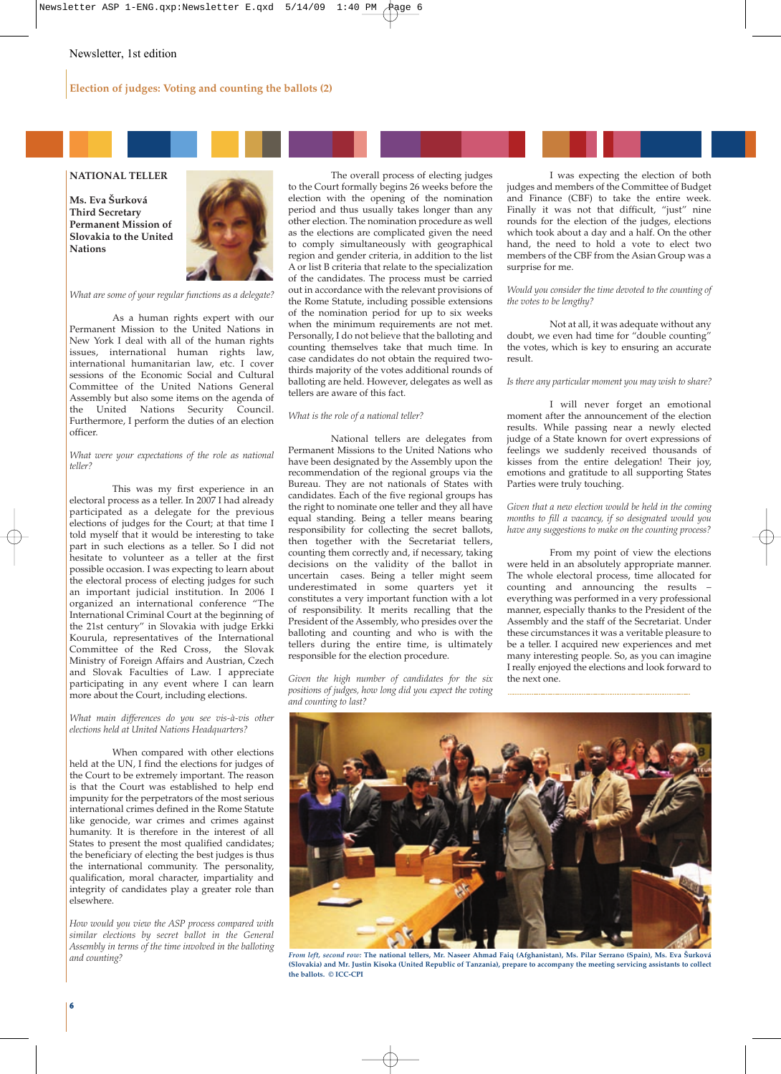## **Election of judges: Voting and counting the ballots (2)**

## **NATIONAL TELLER**

**Ms. Eva Šurková Third Secretary Permanent Mission of Slovakia to the United Nations**



*What are some of your regular functions as a delegate?*

As a human rights expert with our Permanent Mission to the United Nations in New York I deal with all of the human rights issues, international human rights law, international humanitarian law, etc. I cover sessions of the Economic Social and Cultural Committee of the United Nations General Assembly but also some items on the agenda of the United Nations Security Council. Furthermore, I perform the duties of an election officer.

*What were your expectations of the role as national teller?*

This was my first experience in an electoral process as a teller. In 2007 I had already participated as a delegate for the previous elections of judges for the Court; at that time I told myself that it would be interesting to take part in such elections as a teller. So I did not hesitate to volunteer as a teller at the first possible occasion. I was expecting to learn about the electoral process of electing judges for such an important judicial institution. In 2006 I organized an international conference "The International Criminal Court at the beginning of the 21st century" in Slovakia with judge Erkki Kourula, representatives of the International Committee of the Red Cross, the Slovak Ministry of Foreign Affairs and Austrian, Czech and Slovak Faculties of Law. I appreciate participating in any event where I can learn more about the Court, including elections.

*What main differences do you see vis-à-vis other elections held at United Nations Headquarters?*

When compared with other elections held at the UN, I find the elections for judges of the Court to be extremely important. The reason is that the Court was established to help end impunity for the perpetrators of the most serious international crimes defined in the Rome Statute like genocide, war crimes and crimes against humanity. It is therefore in the interest of all States to present the most qualified candidates; the beneficiary of electing the best judges is thus the international community. The personality, qualification, moral character, impartiality and integrity of candidates play a greater role than elsewhere.

*How would you view the ASP process compared with similar elections by secret ballot in the General Assembly in terms of the time involved in the balloting and counting?*

The overall process of electing judges to the Court formally begins 26 weeks before the election with the opening of the nomination period and thus usually takes longer than any other election. The nomination procedure as well as the elections are complicated given the need to comply simultaneously with geographical region and gender criteria, in addition to the list A or list B criteria that relate to the specialization of the candidates. The process must be carried out in accordance with the relevant provisions of the Rome Statute, including possible extensions of the nomination period for up to six weeks when the minimum requirements are not met. Personally, I do not believe that the balloting and counting themselves take that much time. In case candidates do not obtain the required twothirds majority of the votes additional rounds of balloting are held. However, delegates as well as tellers are aware of this fact.

#### *What is the role of a national teller?*

National tellers are delegates from Permanent Missions to the United Nations who have been designated by the Assembly upon the recommendation of the regional groups via the Bureau. They are not nationals of States with candidates. Each of the five regional groups has the right to nominate one teller and they all have equal standing. Being a teller means bearing responsibility for collecting the secret ballots, then together with the Secretariat tellers, counting them correctly and, if necessary, taking decisions on the validity of the ballot in uncertain cases. Being a teller might seem underestimated in some quarters yet it constitutes a very important function with a lot of responsibility. It merits recalling that the President of the Assembly, who presides over the balloting and counting and who is with the tellers during the entire time, is ultimately responsible for the election procedure.

*Given the high number of candidates for the six positions of judges, how long did you expect the voting and counting to last?*

I was expecting the election of both judges and members of the Committee of Budget and Finance (CBF) to take the entire week. Finally it was not that difficult, "just" nine rounds for the election of the judges, elections which took about a day and a half. On the other hand, the need to hold a vote to elect two members of the CBF from the Asian Group was a surprise for me.

*Would you consider the time devoted to the counting of the votes to be lengthy?*

Not at all, it was adequate without any doubt, we even had time for "double counting" the votes, which is key to ensuring an accurate result.

#### *Is there any particular moment you may wish to share?*

I will never forget an emotional moment after the announcement of the election results. While passing near a newly elected judge of a State known for overt expressions of feelings we suddenly received thousands of kisses from the entire delegation! Their joy, emotions and gratitude to all supporting States Parties were truly touching.

*Given that a new election would be held in the coming months to fill a vacancy, if so designated would you have any suggestions to make on the counting process?*

From my point of view the elections were held in an absolutely appropriate manner. The whole electoral process, time allocated for counting and announcing the results – everything was performed in a very professional manner, especially thanks to the President of the Assembly and the staff of the Secretariat. Under these circumstances it was a veritable pleasure to be a teller. I acquired new experiences and met many interesting people. So, as you can imagine I really enjoyed the elections and look forward to the next one.



*From left, second row:* **The national tellers, Mr. Naseer Ahmad Faiq (Afghanistan), Ms. Pilar Serrano (Spain), Ms. Eva Šurková (Slovakia) and Mr. Justin Kisoka (United Republic of Tanzania), prepare to accompany the meeting servicing assistants to collect the ballots. © ICC-CPI**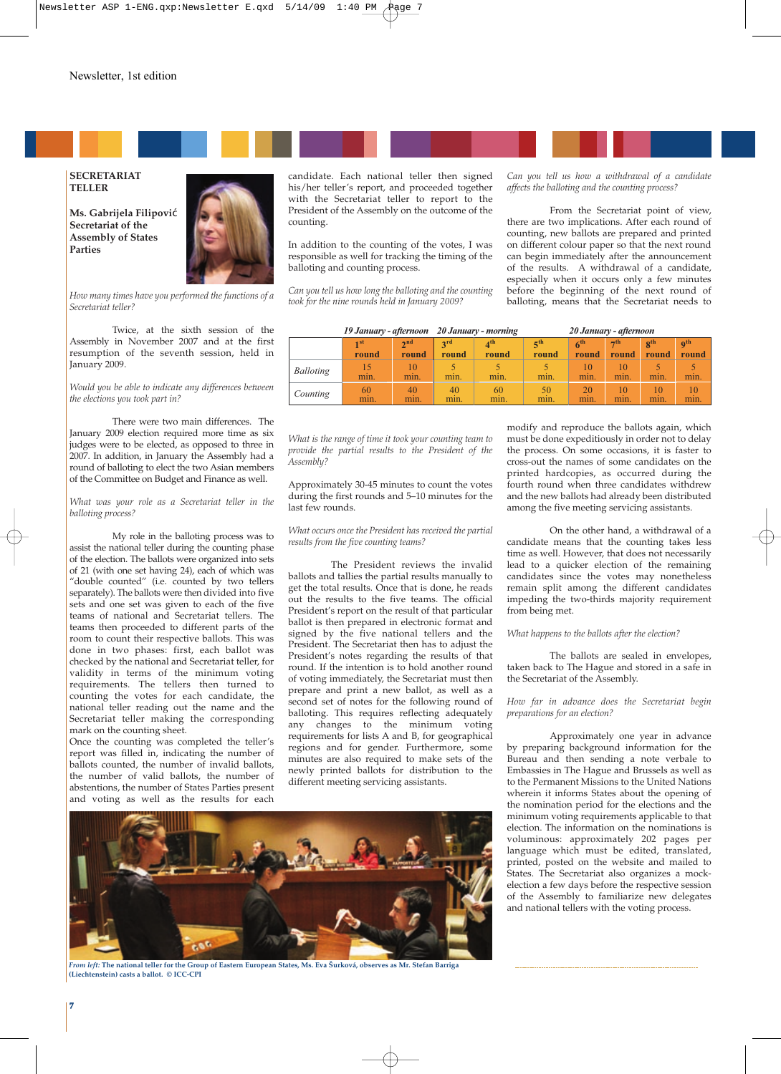

#### **SECRETARIAT TELLER**

**Ms. Gabrijela Filipovi**ć **Secretariat of the Assembly of States Parties**



*How many times have you performed the functions of a Secretariat teller?*

Twice, at the sixth session of the Assembly in November 2007 and at the first resumption of the seventh session, held in January 2009.

*Would you be able to indicate any differences between the elections you took part in?*

There were two main differences. The January 2009 election required more time as six judges were to be elected, as opposed to three in 2007. In addition, in January the Assembly had a round of balloting to elect the two Asian members of the Committee on Budget and Finance as well.

*What was your role as a Secretariat teller in the balloting process?*

My role in the balloting process was to assist the national teller during the counting phase of the election. The ballots were organized into sets of 21 (with one set having 24), each of which was "double counted" (i.e. counted by two tellers separately). The ballots were then divided into five sets and one set was given to each of the five teams of national and Secretariat tellers. The teams then proceeded to different parts of the room to count their respective ballots. This was done in two phases: first, each ballot was checked by the national and Secretariat teller, for validity in terms of the minimum voting requirements. The tellers then turned to counting the votes for each candidate, the national teller reading out the name and the Secretariat teller making the corresponding mark on the counting sheet.

Once the counting was completed the teller's report was filled in, indicating the number of ballots counted, the number of invalid ballots, the number of valid ballots, the number of abstentions, the number of States Parties present and voting as well as the results for each

candidate. Each national teller then signed his/her teller's report, and proceeded together with the Secretariat teller to report to the President of the Assembly on the outcome of the counting.

In addition to the counting of the votes, I was responsible as well for tracking the timing of the balloting and counting process.

*Can you tell us how long the balloting and the counting took for the nine rounds held in January 2009?*

*Can you tell us how a withdrawal of a candidate affects the balloting and the counting process?*

From the Secretariat point of view, there are two implications. After each round of counting, new ballots are prepared and printed on different colour paper so that the next round can begin immediately after the announcement of the results. A withdrawal of a candidate, especially when it occurs only a few minutes before the beginning of the next round of balloting, means that the Secretariat needs to

|                  | 19 January - afternoon 20 January - morning |                      |              |                                   | 20 January - afternoon   |                          |                    |                   |                                   |
|------------------|---------------------------------------------|----------------------|--------------|-----------------------------------|--------------------------|--------------------------|--------------------|-------------------|-----------------------------------|
|                  | $\mathbf{1}$ st<br>round                    | $\gamma$ nd<br>round | 2rd<br>round | $\mathbf{A}^{\text{th}}$<br>round | 5 <sup>th</sup><br>round | 6 <sup>th</sup><br>round | $\neg$ th<br>round | $R^{th}$<br>round | $\mathbf{0}^{\text{th}}$<br>round |
| <b>Balloting</b> | min.                                        | 10<br>min.           | min.         | min.                              | min.                     | 10<br>min.               | min.               | min.              | min.                              |
| Counting         | 60<br>min.                                  | 40<br>min.           | 40<br>min.   | 60<br>min.                        | 50<br>min.               | 20<br>min.               | min.               | 10<br>min.        | 10<br>min.                        |

*What is the range of time it took your counting team to provide the partial results to the President of the Assembly?*

Approximately 30-45 minutes to count the votes during the first rounds and 5–10 minutes for the last few rounds.

*What occurs once the President has received the partial results from the five counting teams?*

The President reviews the invalid ballots and tallies the partial results manually to get the total results. Once that is done, he reads out the results to the five teams. The official President's report on the result of that particular ballot is then prepared in electronic format and signed by the five national tellers and the President. The Secretariat then has to adjust the President's notes regarding the results of that round. If the intention is to hold another round of voting immediately, the Secretariat must then prepare and print a new ballot, as well as a second set of notes for the following round of balloting. This requires reflecting adequately any changes to the minimum voting requirements for lists A and B, for geographical regions and for gender. Furthermore, some minutes are also required to make sets of the newly printed ballots for distribution to the different meeting servicing assistants.

*From left:* **The national teller for the Group of Eastern European States, Ms. Eva Šurková, observes as Mr. Stefan Barriga (Liechtenstein) casts a ballot. © ICC-CPI**

modify and reproduce the ballots again, which must be done expeditiously in order not to delay the process. On some occasions, it is faster to cross-out the names of some candidates on the printed hardcopies, as occurred during the fourth round when three candidates withdrew and the new ballots had already been distributed among the five meeting servicing assistants.

On the other hand, a withdrawal of a candidate means that the counting takes less time as well. However, that does not necessarily lead to a quicker election of the remaining candidates since the votes may nonetheless remain split among the different candidates impeding the two-thirds majority requirement from being met.

*What happens to the ballots after the election?*

The ballots are sealed in envelopes, taken back to The Hague and stored in a safe in the Secretariat of the Assembly.

*How far in advance does the Secretariat begin preparations for an election?*

Approximately one year in advance by preparing background information for the Bureau and then sending a note verbale to Embassies in The Hague and Brussels as well as to the Permanent Missions to the United Nations wherein it informs States about the opening of the nomination period for the elections and the minimum voting requirements applicable to that election. The information on the nominations is voluminous: approximately 202 pages per language which must be edited, translated, printed, posted on the website and mailed to States. The Secretariat also organizes a mockelection a few days before the respective session of the Assembly to familiarize new delegates and national tellers with the voting process.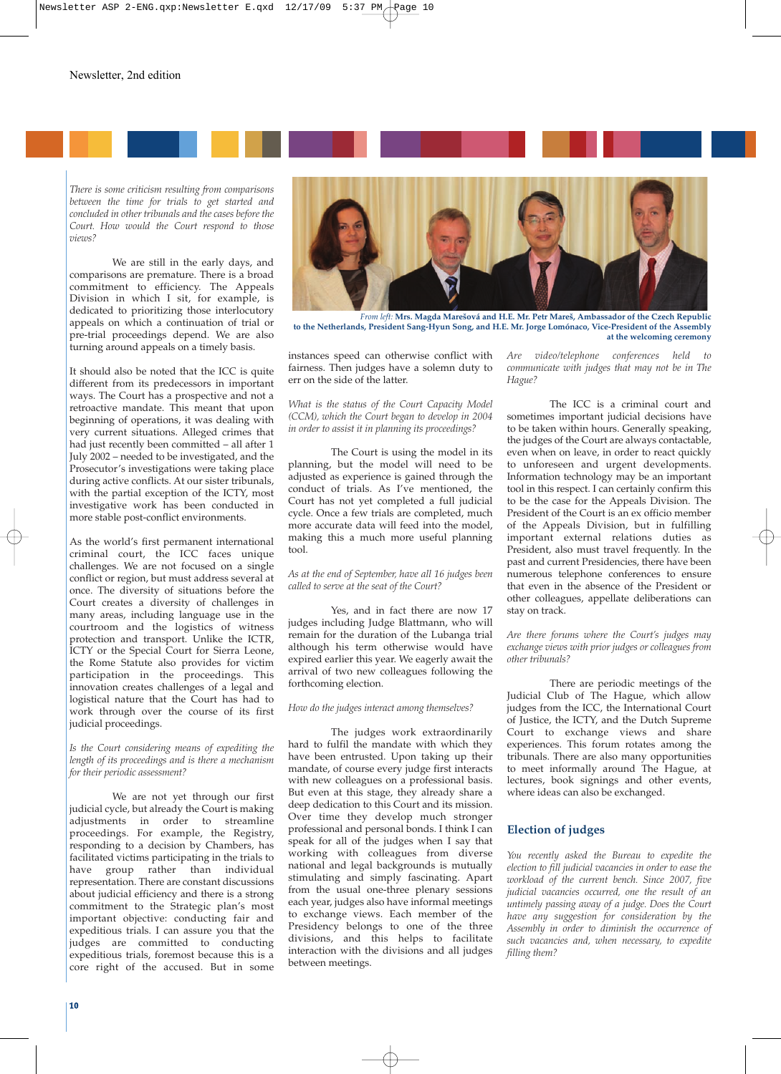

*There is some criticism resulting from comparisons between the time for trials to get started and concluded in other tribunals and the cases before the Court. How would the Court respond to those views?*

We are still in the early days, and comparisons are premature. There is a broad commitment to efficiency. The Appeals Division in which I sit, for example, is dedicated to prioritizing those interlocutory appeals on which a continuation of trial or pre-trial proceedings depend. We are also turning around appeals on a timely basis.

It should also be noted that the ICC is quite different from its predecessors in important ways. The Court has a prospective and not a retroactive mandate. This meant that upon beginning of operations, it was dealing with very current situations. Alleged crimes that had just recently been committed – all after 1 July 2002 – needed to be investigated, and the Prosecutor's investigations were taking place during active conflicts. At our sister tribunals. with the partial exception of the ICTY, most investigative work has been conducted in more stable post-conflict environments.

As the world's first permanent international criminal court, the ICC faces unique challenges. We are not focused on a single conflict or region, but must address several at once. The diversity of situations before the Court creates a diversity of challenges in many areas, including language use in the courtroom and the logistics of witness protection and transport. Unlike the ICTR, ICTY or the Special Court for Sierra Leone, the Rome Statute also provides for victim participation in the proceedings. This innovation creates challenges of a legal and logistical nature that the Court has had to work through over the course of its first judicial proceedings.

*Is the Court considering means of expediting the length of its proceedings and is there a mechanism for their periodic assessment?*

We are not yet through our first judicial cycle, but already the Court is making adjustments in order to streamline proceedings. For example, the Registry, responding to a decision by Chambers, has facilitated victims participating in the trials to have group rather than individual representation. There are constant discussions about judicial efficiency and there is a strong commitment to the Strategic plan's most important objective: conducting fair and expeditious trials. I can assure you that the judges are committed to conducting expeditious trials, foremost because this is a core right of the accused. But in some



*From left:* **Mrs. Magda Marešová and H.E. Mr. Petr Mareš, Ambassador of the Czech Republic to the Netherlands, President Sang-Hyun Song, and H.E. Mr. Jorge Lomónaco, Vice-President of the Assembly at the welcoming ceremony** 

instances speed can otherwise conflict with fairness. Then judges have a solemn duty to err on the side of the latter.

*What is the status of the Court Capacity Model (CCM), which the Court began to develop in 2004 in order to assist it in planning its proceedings?*

The Court is using the model in its planning, but the model will need to be adjusted as experience is gained through the conduct of trials. As I've mentioned, the Court has not yet completed a full judicial cycle. Once a few trials are completed, much more accurate data will feed into the model, making this a much more useful planning tool.

*As at the end of September, have all 16 judges been called to serve at the seat of the Court?*

Yes, and in fact there are now 17 judges including Judge Blattmann, who will remain for the duration of the Lubanga trial although his term otherwise would have expired earlier this year. We eagerly await the arrival of two new colleagues following the forthcoming election.

### *How do the judges interact among themselves?*

The judges work extraordinarily hard to fulfil the mandate with which they have been entrusted. Upon taking up their mandate, of course every judge first interacts with new colleagues on a professional basis. But even at this stage, they already share a deep dedication to this Court and its mission. Over time they develop much stronger professional and personal bonds. I think I can speak for all of the judges when I say that working with colleagues from diverse national and legal backgrounds is mutually stimulating and simply fascinating. Apart from the usual one-three plenary sessions each year, judges also have informal meetings to exchange views. Each member of the Presidency belongs to one of the three divisions, and this helps to facilitate interaction with the divisions and all judges between meetings.

*Are video/telephone conferences held to communicate with judges that may not be in The Hague?*

The ICC is a criminal court and sometimes important judicial decisions have to be taken within hours. Generally speaking, the judges of the Court are always contactable, even when on leave, in order to react quickly to unforeseen and urgent developments. Information technology may be an important tool in this respect. I can certainly confirm this to be the case for the Appeals Division. The President of the Court is an ex officio member of the Appeals Division, but in fulfilling important external relations duties as President, also must travel frequently. In the past and current Presidencies, there have been numerous telephone conferences to ensure that even in the absence of the President or other colleagues, appellate deliberations can stay on track.

*Are there forums where the Court's judges may exchange views with prior judges or colleagues from other tribunals?*

There are periodic meetings of the Judicial Club of The Hague, which allow judges from the ICC, the International Court of Justice, the ICTY, and the Dutch Supreme Court to exchange views and share experiences. This forum rotates among the tribunals. There are also many opportunities to meet informally around The Hague, at lectures, book signings and other events, where ideas can also be exchanged.

## **Election of judges**

*You recently asked the Bureau to expedite the election to fill judicial vacancies in order to ease the workload of the current bench. Since 2007, five judicial vacancies occurred, one the result of an untimely passing away of a judge. Does the Court have any suggestion for consideration by the Assembly in order to diminish the occurrence of such vacancies and, when necessary, to expedite filling them?*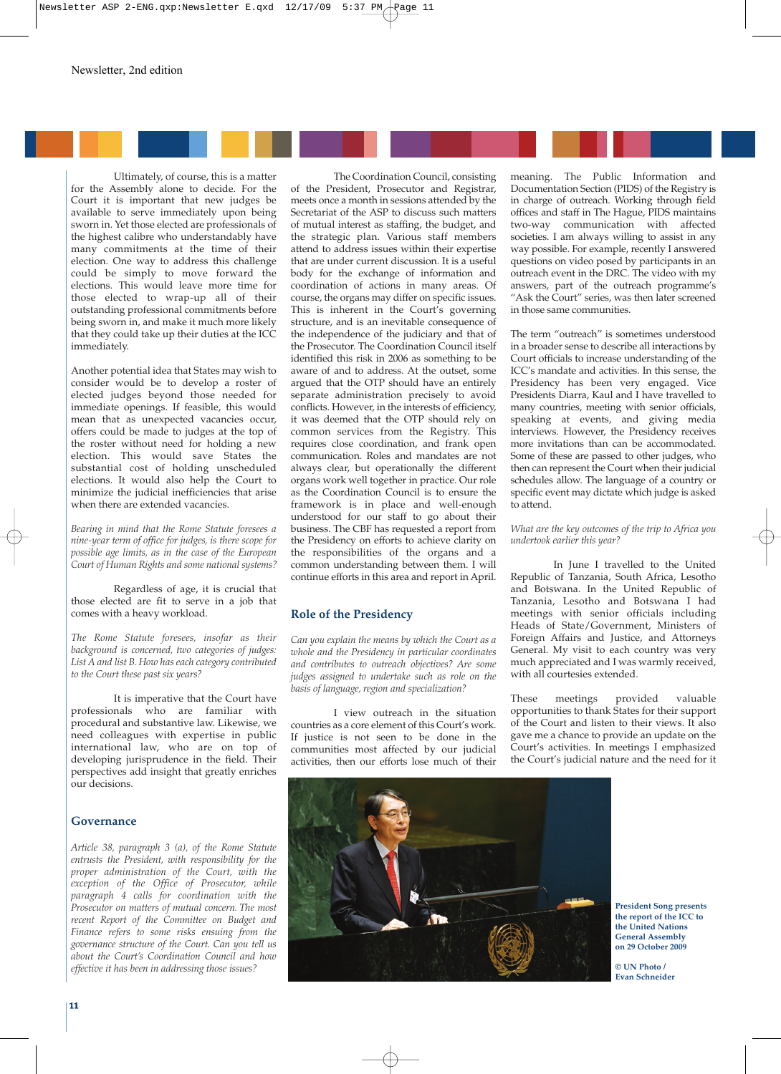

Ultimately, of course, this is a matter for the Assembly alone to decide. For the Court it is important that new judges be available to serve immediately upon being sworn in. Yet those elected are professionals of the highest calibre who understandably have many commitments at the time of their election. One way to address this challenge could be simply to move forward the elections. This would leave more time for those elected to wrap-up all of their outstanding professional commitments before being sworn in, and make it much more likely that they could take up their duties at the ICC immediately.

Another potential idea that States may wish to consider would be to develop a roster of elected judges beyond those needed for immediate openings. If feasible, this would mean that as unexpected vacancies occur, offers could be made to judges at the top of the roster without need for holding a new election. This would save States the substantial cost of holding unscheduled elections. It would also help the Court to minimize the judicial inefficiencies that arise when there are extended vacancies.

*Bearing in mind that the Rome Statute foresees a nine-year term of office for judges, is there scope for possible age limits, as in the case of the European Court of Human Rights and some national systems?*

Regardless of age, it is crucial that those elected are fit to serve in a job that comes with a heavy workload.

*The Rome Statute foresees, insofar as their background is concerned, two categories of judges: List A and list B. How has each category contributed to the Court these past six years?* 

It is imperative that the Court have professionals who are familiar with procedural and substantive law. Likewise, we need colleagues with expertise in public international law, who are on top of developing jurisprudence in the field. Their perspectives add insight that greatly enriches our decisions.

## **Governance**

*Article 38, paragraph 3 (a), of the Rome Statute entrusts the President, with responsibility for the proper administration of the Court, with the exception of the Office of Prosecutor, while paragraph 4 calls for coordination with the Prosecutor on matters of mutual concern. The most recent Report of the Committee on Budget and Finance refers to some risks ensuing from the governance structure of the Court. Can you tell us about the Court's Coordination Council and how effective it has been in addressing those issues?*

The Coordination Council, consisting of the President, Prosecutor and Registrar, meets once a month in sessions attended by the Secretariat of the ASP to discuss such matters of mutual interest as staffing, the budget, and the strategic plan. Various staff members attend to address issues within their expertise that are under current discussion. It is a useful body for the exchange of information and coordination of actions in many areas. Of course, the organs may differ on specific issues. This is inherent in the Court's governing structure, and is an inevitable consequence of the independence of the judiciary and that of the Prosecutor. The Coordination Council itself identified this risk in 2006 as something to be aware of and to address. At the outset, some argued that the OTP should have an entirely separate administration precisely to avoid conflicts. However, in the interests of efficiency, it was deemed that the OTP should rely on common services from the Registry. This requires close coordination, and frank open communication. Roles and mandates are not always clear, but operationally the different organs work well together in practice. Our role as the Coordination Council is to ensure the framework is in place and well-enough understood for our staff to go about their business. The CBF has requested a report from the Presidency on efforts to achieve clarity on the responsibilities of the organs and a common understanding between them. I will continue efforts in this area and report in April.

## **Role of the Presidency**

*Can you explain the means by which the Court as a whole and the Presidency in particular coordinates and contributes to outreach objectives? Are some judges assigned to undertake such as role on the basis of language, region and specialization?*

I view outreach in the situation countries as a core element of this Court's work. If justice is not seen to be done in the communities most affected by our judicial activities, then our efforts lose much of their

meaning. The Public Information and Documentation Section (PIDS) of the Registry is in charge of outreach. Working through field offices and staff in The Hague, PIDS maintains two-way communication with affected societies. I am always willing to assist in any way possible. For example, recently I answered questions on video posed by participants in an outreach event in the DRC. The video with my answers, part of the outreach programme's "Ask the Court" series, was then later screened in those same communities.

The term "outreach" is sometimes understood in a broader sense to describe all interactions by Court officials to increase understanding of the ICC's mandate and activities. In this sense, the Presidency has been very engaged. Vice Presidents Diarra, Kaul and I have travelled to many countries, meeting with senior officials, speaking at events, and giving media interviews. However, the Presidency receives more invitations than can be accommodated. Some of these are passed to other judges, who then can represent the Court when their judicial schedules allow. The language of a country or specific event may dictate which judge is asked to attend.

#### *What are the key outcomes of the trip to Africa you undertook earlier this year?*

In June I travelled to the United Republic of Tanzania, South Africa, Lesotho and Botswana. In the United Republic of Tanzania, Lesotho and Botswana I had meetings with senior officials including Heads of State/Government, Ministers of Foreign Affairs and Justice, and Attorneys General. My visit to each country was very much appreciated and I was warmly received, with all courtesies extended.

These meetings provided valuable opportunities to thank States for their support of the Court and listen to their views. It also gave me a chance to provide an update on the Court's activities. In meetings I emphasized the Court's judicial nature and the need for it



**President Song presents the report of the ICC to the United Nations General Assembly on 29 October 2009**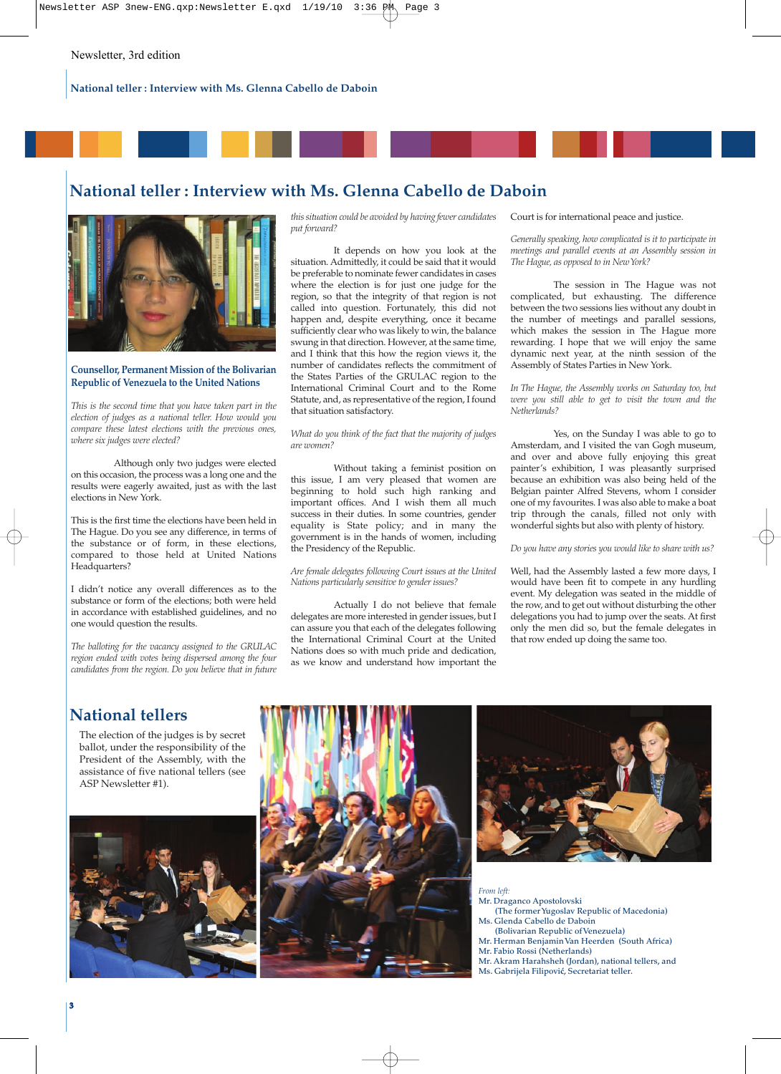

## **National teller : Interview with Ms. Glenna Cabello de Daboin**



## **Counsellor, Permanent Mission of the Bolivarian Republic of Venezuela to the United Nations**

*This is the second time that you have taken part in the election of judges as a national teller. How would you compare these latest elections with the previous ones, where six judges were elected?*

Although only two judges were elected on this occasion, the process was a long one and the results were eagerly awaited, just as with the last elections in New York.

This is the first time the elections have been held in The Hague. Do you see any difference, in terms of the substance or of form, in these elections, compared to those held at United Nations Headquarters?

I didn't notice any overall differences as to the substance or form of the elections; both were held in accordance with established guidelines, and no one would question the results.

*The balloting for the vacancy assigned to the GRULAC region ended with votes being dispersed among the four candidates from the region. Do you believe that in future* *this situation could be avoided by having fewer candidates put forward?*

It depends on how you look at the situation. Admittedly, it could be said that it would be preferable to nominate fewer candidates in cases where the election is for just one judge for the region, so that the integrity of that region is not called into question. Fortunately, this did not happen and, despite everything, once it became sufficiently clear who was likely to win, the balance swung in that direction. However, at the same time, and I think that this how the region views it, the number of candidates reflects the commitment of the States Parties of the GRULAC region to the International Criminal Court and to the Rome Statute, and, as representative of the region, I found that situation satisfactory.

*What do you think of the fact that the majority of judges are women?*

Without taking a feminist position on this issue, I am very pleased that women are beginning to hold such high ranking and important offices. And I wish them all much success in their duties. In some countries, gender equality is State policy; and in many the government is in the hands of women, including the Presidency of the Republic.

### *Are female delegates following Court issues at the United Nations particularly sensitive to gender issues?*

Actually I do not believe that female delegates are more interested in gender issues, but I can assure you that each of the delegates following the International Criminal Court at the United Nations does so with much pride and dedication, as we know and understand how important the Court is for international peace and justice.

*Generally speaking, how complicated is it to participate in meetings and parallel events at an Assembly session in The Hague, as opposed to in New York?* 

The session in The Hague was not complicated, but exhausting. The difference between the two sessions lies without any doubt in the number of meetings and parallel sessions, which makes the session in The Hague more rewarding. I hope that we will enjoy the same dynamic next year, at the ninth session of the Assembly of States Parties in New York.

*In The Hague, the Assembly works on Saturday too, but were you still able to get to visit the town and the Netherlands?*

Yes, on the Sunday I was able to go to Amsterdam, and I visited the van Gogh museum, and over and above fully enjoying this great painter's exhibition, I was pleasantly surprised because an exhibition was also being held of the Belgian painter Alfred Stevens, whom I consider one of my favourites. I was also able to make a boat trip through the canals, filled not only with wonderful sights but also with plenty of history.

#### *Do you have any stories you would like to share with us?*

Well, had the Assembly lasted a few more days, I would have been fit to compete in any hurdling event. My delegation was seated in the middle of the row, and to get out without disturbing the other delegations you had to jump over the seats. At first only the men did so, but the female delegates in that row ended up doing the same too.

## **National tellers**

The election of the judges is by secret ballot, under the responsibility of the President of the Assembly, with the assistance of five national tellers (see ASP Newsletter #1).







*From left:*

- **Mr. Draganco Apostolovski**
- **(The former Yugoslav Republic of Macedonia) Ms. Glenda Cabello de Daboin**
- **(Bolivarian Republic of Venezuela)**
- **Mr. Herman Benjamin Van Heerden (South Africa)**
- **Mr. Fabio Rossi (Netherlands)**
- **Mr. Akram Harahsheh (Jordan), national tellers, and Ms. Gabrijela Filipović, Secretariat teller.**

**33**